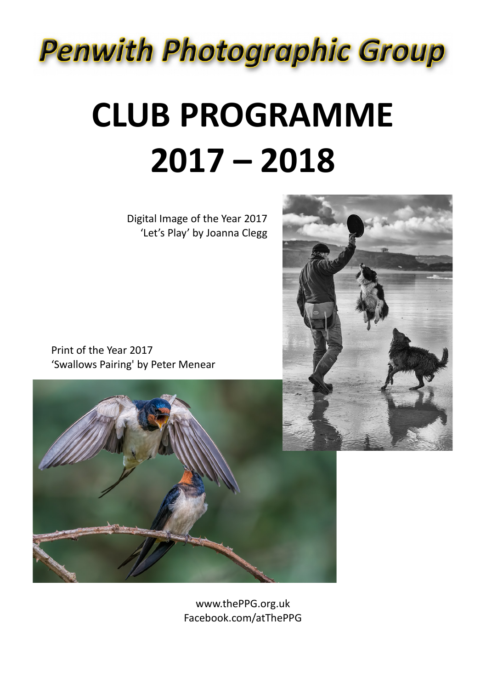

# **CLUB PROGRAMME 2017 – 2018**

Digital Image of the Year 2017 'Let's Play' by Joanna Clegg

 Print of the Year 2017 'Swallows Pairing' by Peter Menear



www.thePPG.org.uk Facebook.com/atThePPG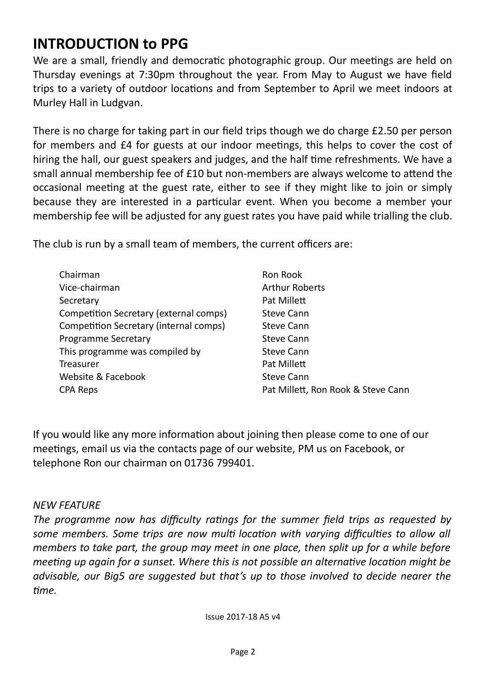## **INTRODUCTION to PPG**

We are a small, friendly and democratic photographic group. Our meetings are held on Thursday evenings at 7:30pm throughout the year. From May to August we have feld trips to a variety of outdoor locatons and from September to April we meet indoors at Murley Hall in Ludgvan.

There is no charge for taking part in our field trips though we do charge £2.50 per person for members and £4 for guests at our indoor meetngs, this helps to cover the cost of hiring the hall, our guest speakers and judges, and the half time refreshments. We have a small annual membership fee of £10 but non-members are always welcome to atend the occasional meetng at the guest rate, either to see if they might like to join or simply because they are interested in a partcular event. When you become a member your membership fee will be adjusted for any guest rates you have paid while trialling the club.

The club is run by a small team of members, the current officers are:

| Chairman                               | Ron Rook                           |
|----------------------------------------|------------------------------------|
| Vice-chairman                          | <b>Arthur Roberts</b>              |
| Secretary                              | Pat Millett                        |
| Competition Secretary (external comps) | <b>Steve Cann</b>                  |
| Competition Secretary (internal comps) | <b>Steve Cann</b>                  |
| Programme Secretary                    | <b>Steve Cann</b>                  |
| This programme was compiled by         | <b>Steve Cann</b>                  |
| Treasurer                              | Pat Millett                        |
| Website & Facebook                     | <b>Steve Cann</b>                  |
| CPA Reps                               | Pat Millett, Ron Rook & Steve Cann |

If you would like any more informaton about joining then please come to one of our meetings, email us via the contacts page of our website, PM us on Facebook, or telephone Ron our chairman on 01736 799401.

#### *NEW FEATURE*

The programme now has difficulty ratings for the summer field trips as requested by some members. Some trips are now multi location with varying difficulties to allow all *members to take part, the group may meet in one place, then split up for a while before meeting up again for a sunset. Where this is not possible an alternative location might be advisable, our Big5 are suggested but that's up to those involved to decide nearer the tme.*

Issue 2017-18 A5 v4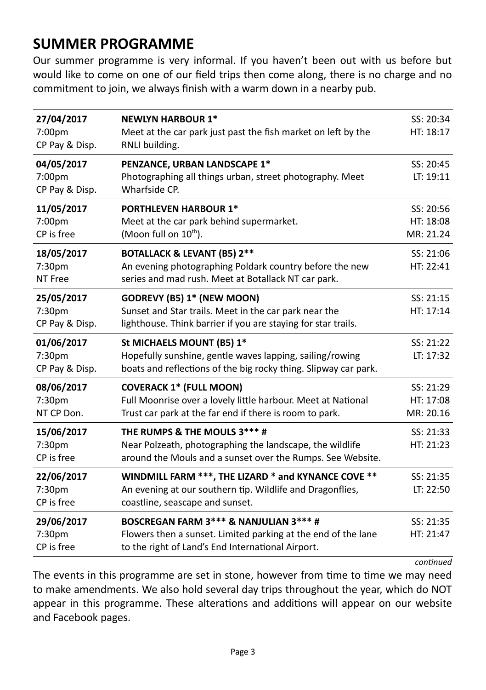### **SUMMER PROGRAMME**

Our summer programme is very informal. If you haven't been out with us before but would like to come on one of our feld trips then come along, there is no charge and no commitment to join, we always fnish with a warm down in a nearby pub.

| 27/04/2017<br>7:00pm<br>CP Pay & Disp. | <b>NEWLYN HARBOUR 1*</b><br>Meet at the car park just past the fish market on left by the<br>RNLI building.                                                  | SS: 20:34<br>HT: 18:17              |
|----------------------------------------|--------------------------------------------------------------------------------------------------------------------------------------------------------------|-------------------------------------|
| 04/05/2017<br>7:00pm<br>CP Pay & Disp. | PENZANCE, URBAN LANDSCAPE 1*<br>Photographing all things urban, street photography. Meet<br>Wharfside CP.                                                    | SS: 20:45<br>LT: 19:11              |
| 11/05/2017<br>7:00pm<br>CP is free     | <b>PORTHLEVEN HARBOUR 1*</b><br>Meet at the car park behind supermarket.<br>(Moon full on 10 <sup>th</sup> ).                                                | SS: 20:56<br>HT: 18:08<br>MR: 21.24 |
| 18/05/2017<br>7:30pm<br>NT Free        | <b>BOTALLACK &amp; LEVANT (B5) 2**</b><br>An evening photographing Poldark country before the new<br>series and mad rush. Meet at Botallack NT car park.     | SS: 21:06<br>HT: 22:41              |
| 25/05/2017<br>7:30pm<br>CP Pay & Disp. | <b>GODREVY (B5) 1* (NEW MOON)</b><br>Sunset and Star trails. Meet in the car park near the<br>lighthouse. Think barrier if you are staying for star trails.  | SS: 21:15<br>HT: 17:14              |
|                                        |                                                                                                                                                              |                                     |
| 01/06/2017<br>7:30pm<br>CP Pay & Disp. | St MICHAELS MOUNT (B5) 1*<br>Hopefully sunshine, gentle waves lapping, sailing/rowing<br>boats and reflections of the big rocky thing. Slipway car park.     | SS: 21:22<br>LT: 17:32              |
| 08/06/2017<br>7:30pm<br>NT CP Don.     | <b>COVERACK 1* (FULL MOON)</b><br>Full Moonrise over a lovely little harbour. Meet at National<br>Trust car park at the far end if there is room to park.    | SS: 21:29<br>HT: 17:08<br>MR: 20.16 |
| 15/06/2017<br>7:30pm<br>CP is free     | THE RUMPS & THE MOULS 3*** #<br>Near Polzeath, photographing the landscape, the wildlife<br>around the Mouls and a sunset over the Rumps. See Website.       | SS: 21:33<br>HT: 21:23              |
| 22/06/2017<br>7:30pm<br>CP is free     | WINDMILL FARM ***, THE LIZARD * and KYNANCE COVE **<br>An evening at our southern tip. Wildlife and Dragonflies,<br>coastline, seascape and sunset.          | SS: 21:35<br>LT: 22:50              |
| 29/06/2017<br>7:30pm<br>CP is free     | BOSCREGAN FARM 3*** & NANJULIAN 3*** #<br>Flowers then a sunset. Limited parking at the end of the lane<br>to the right of Land's End International Airport. | SS: 21:35<br>HT: 21:47              |

*fontnied*

The events in this programme are set in stone, however from time to time we may need to make amendments. We also hold several day trips throughout the year, which do NOT appear in this programme. These alterations and additions will appear on our website and Facebook pages.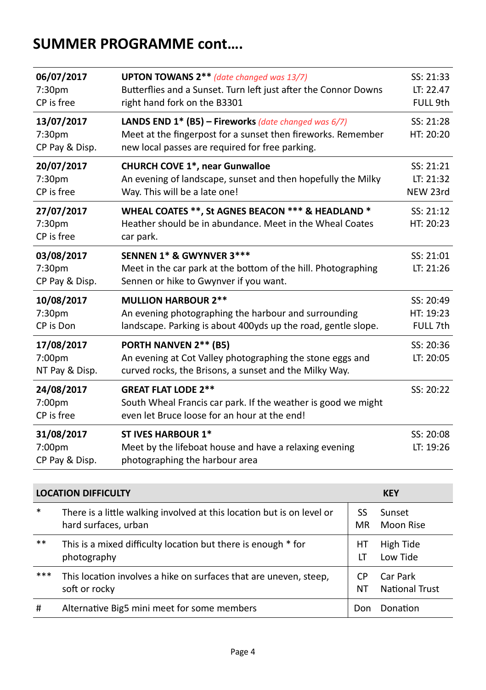## **SUMMER PROGRAMME cont….**

| 06/07/2017<br>7:30 <sub>pm</sub><br>CP is free | <b>UPTON TOWANS 2**</b> (date changed was 13/7)<br>Butterflies and a Sunset. Turn left just after the Connor Downs<br>right hand fork on the B3301                         | SS: 21:33<br>LT: 22.47<br>FULL 9th |
|------------------------------------------------|----------------------------------------------------------------------------------------------------------------------------------------------------------------------------|------------------------------------|
| 13/07/2017<br>7:30pm<br>CP Pay & Disp.         | LANDS END $1^*$ (B5) – Fireworks (date changed was 6/7)<br>Meet at the fingerpost for a sunset then fireworks. Remember<br>new local passes are required for free parking. | SS: 21:28<br>HT: 20:20             |
| 20/07/2017<br>7:30 <sub>pm</sub><br>CP is free | <b>CHURCH COVE 1*, near Gunwalloe</b><br>An evening of landscape, sunset and then hopefully the Milky<br>Way. This will be a late one!                                     | SS: 21:21<br>LT: 21:32<br>NEW 23rd |
| 27/07/2017<br>7:30pm<br>CP is free             | WHEAL COATES **, St AGNES BEACON *** & HEADLAND *<br>Heather should be in abundance. Meet in the Wheal Coates<br>car park.                                                 | SS: 21:12<br>HT: 20:23             |
| 03/08/2017<br>7:30pm<br>CP Pay & Disp.         | SENNEN 1* & GWYNVER 3***<br>Meet in the car park at the bottom of the hill. Photographing<br>Sennen or hike to Gwynver if you want.                                        | SS: 21:01<br>LT: 21:26             |
| 10/08/2017<br>7:30 <sub>pm</sub><br>CP is Don  | <b>MULLION HARBOUR 2**</b><br>An evening photographing the harbour and surrounding<br>landscape. Parking is about 400yds up the road, gentle slope.                        | SS: 20:49<br>HT: 19:23<br>FULL 7th |
| 17/08/2017<br>7:00pm<br>NT Pay & Disp.         | PORTH NANVEN 2** (B5)<br>An evening at Cot Valley photographing the stone eggs and<br>curved rocks, the Brisons, a sunset and the Milky Way.                               | SS: 20:36<br>LT: 20:05             |
| 24/08/2017<br>7:00pm<br>CP is free             | <b>GREAT FLAT LODE 2**</b><br>South Wheal Francis car park. If the weather is good we might<br>even let Bruce loose for an hour at the end!                                | SS: 20:22                          |
| 31/08/2017<br>7:00pm<br>CP Pay & Disp.         | <b>ST IVES HARBOUR 1*</b><br>Meet by the lifeboat house and have a relaxing evening<br>photographing the harbour area                                                      | SS: 20:08<br>LT: 19:26             |

|        | <b>LOCATION DIFFICULTY</b>                                             |     | <b>KEY</b>     |
|--------|------------------------------------------------------------------------|-----|----------------|
| $\ast$ | There is a little walking involved at this location but is on level or | SS  | Sunset         |
|        | hard surfaces, urban                                                   | MR  | Moon Rise      |
| $***$  | This is a mixed difficulty location but there is enough * for          | HТ  | High Tide      |
|        | photography                                                            | ١T  | Low Tide       |
| ***    | This location involves a hike on surfaces that are uneven, steep,      | СP  | Car Park       |
|        | soft or rocky                                                          | NΤ  | National Trust |
| #      | Alternative Big5 mini meet for some members                            | Don | Donation       |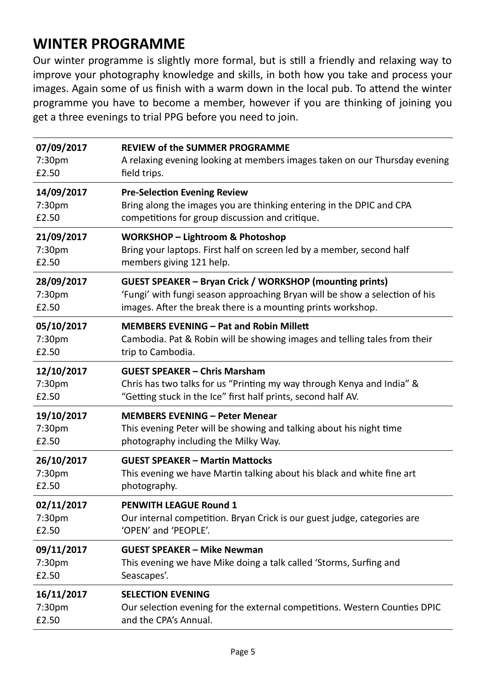## **WINTER PROGRAMME**

Our winter programme is slightly more formal, but is stll a friendly and relaxing way to improve your photography knowledge and skills, in both how you take and process your images. Again some of us finish with a warm down in the local pub. To attend the winter programme you have to become a member, however if you are thinking of joining you get a three evenings to trial PPG before you need to join.

| 07/09/2017         | <b>REVIEW of the SUMMER PROGRAMME</b>                                       |
|--------------------|-----------------------------------------------------------------------------|
| 7:30pm             | A relaxing evening looking at members images taken on our Thursday evening  |
| £2.50              | field trips.                                                                |
| 14/09/2017         | <b>Pre-Selection Evening Review</b>                                         |
| 7:30pm             | Bring along the images you are thinking entering in the DPIC and CPA        |
| £2.50              | competitions for group discussion and critique.                             |
| 21/09/2017         | <b>WORKSHOP - Lightroom &amp; Photoshop</b>                                 |
| 7:30 <sub>pm</sub> | Bring your laptops. First half on screen led by a member, second half       |
| £2.50              | members giving 121 help.                                                    |
| 28/09/2017         | <b>GUEST SPEAKER - Bryan Crick / WORKSHOP (mounting prints)</b>             |
| 7:30pm             | 'Fungi' with fungi season approaching Bryan will be show a selection of his |
| £2.50              | images. After the break there is a mounting prints workshop.                |
| 05/10/2017         | <b>MEMBERS EVENING - Pat and Robin Millett</b>                              |
| 7:30pm             | Cambodia. Pat & Robin will be showing images and telling tales from their   |
| £2.50              | trip to Cambodia.                                                           |
| 12/10/2017         | <b>GUEST SPEAKER - Chris Marsham</b>                                        |
| 7:30pm             | Chris has two talks for us "Printing my way through Kenya and India" &      |
| £2.50              | "Getting stuck in the Ice" first half prints, second half AV.               |
| 19/10/2017         | <b>MEMBERS EVENING - Peter Menear</b>                                       |
| 7:30pm             | This evening Peter will be showing and talking about his night time         |
| £2.50              | photography including the Milky Way.                                        |
| 26/10/2017         | <b>GUEST SPEAKER - Martin Mattocks</b>                                      |
| 7:30pm             | This evening we have Martin talking about his black and white fine art      |
| £2.50              | photography.                                                                |
| 02/11/2017         | <b>PENWITH LEAGUE Round 1</b>                                               |
| 7:30pm             | Our internal competition. Bryan Crick is our guest judge, categories are    |
| £2.50              | 'OPEN' and 'PEOPLE'.                                                        |
| 09/11/2017         | <b>GUEST SPEAKER - Mike Newman</b>                                          |
| 7:30pm             | This evening we have Mike doing a talk called 'Storms, Surfing and          |
| £2.50              | Seascapes'.                                                                 |
| 16/11/2017         | <b>SELECTION EVENING</b>                                                    |
| 7:30pm             | Our selection evening for the external competitions. Western Counties DPIC  |
| £2.50              | and the CPA's Annual.                                                       |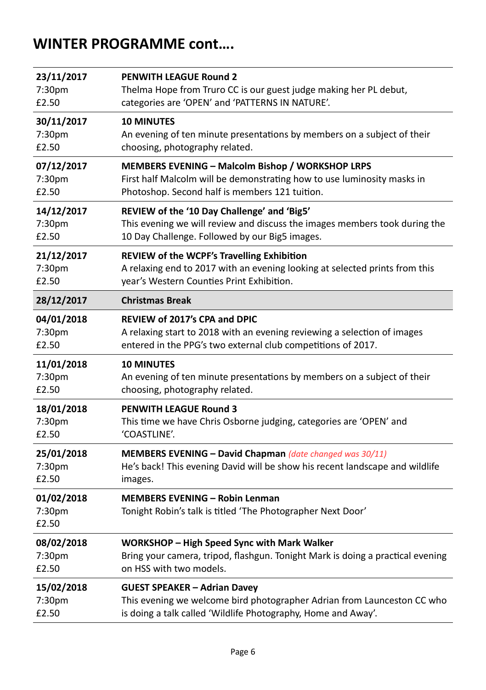### **WINTER PROGRAMME cont….**

| 23/11/2017                    | <b>PENWITH LEAGUE Round 2</b>                                                                        |
|-------------------------------|------------------------------------------------------------------------------------------------------|
| 7:30pm                        | Thelma Hope from Truro CC is our guest judge making her PL debut,                                    |
| £2.50                         | categories are 'OPEN' and 'PATTERNS IN NATURE'.                                                      |
| 30/11/2017                    | <b>10 MINUTES</b>                                                                                    |
| 7:30 <sub>pm</sub>            | An evening of ten minute presentations by members on a subject of their                              |
| £2.50                         | choosing, photography related.                                                                       |
| 07/12/2017                    | <b>MEMBERS EVENING - Malcolm Bishop / WORKSHOP LRPS</b>                                              |
| 7:30 <sub>pm</sub>            | First half Malcolm will be demonstrating how to use luminosity masks in                              |
| £2.50                         | Photoshop. Second half is members 121 tuition.                                                       |
| 14/12/2017                    | REVIEW of the '10 Day Challenge' and 'Big5'                                                          |
| 7:30pm                        | This evening we will review and discuss the images members took during the                           |
| £2.50                         | 10 Day Challenge. Followed by our Big5 images.                                                       |
| 21/12/2017                    | REVIEW of the WCPF's Travelling Exhibition                                                           |
| 7:30 <sub>pm</sub>            | A relaxing end to 2017 with an evening looking at selected prints from this                          |
| £2.50                         | year's Western Counties Print Exhibition.                                                            |
| 28/12/2017                    | <b>Christmas Break</b>                                                                               |
| 04/01/2018                    | <b>REVIEW of 2017's CPA and DPIC</b>                                                                 |
| 7:30 <sub>pm</sub>            | A relaxing start to 2018 with an evening reviewing a selection of images                             |
| £2.50                         | entered in the PPG's two external club competitions of 2017.                                         |
| 11/01/2018                    | <b>10 MINUTES</b>                                                                                    |
| 7:30pm                        | An evening of ten minute presentations by members on a subject of their                              |
| £2.50                         | choosing, photography related.                                                                       |
| 18/01/2018                    | <b>PENWITH LEAGUE Round 3</b>                                                                        |
| 7:30pm                        | This time we have Chris Osborne judging, categories are 'OPEN' and                                   |
| £2.50                         | 'COASTLINE'.                                                                                         |
| 25/01/2018                    | MEMBERS EVENING - David Chapman (date changed was 30/11)                                             |
| 7:30pm                        | He's back! This evening David will be show his recent landscape and wildlife                         |
| £2.50                         | images.                                                                                              |
| 01/02/2018<br>7:30pm<br>£2.50 | <b>MEMBERS EVENING - Robin Lenman</b><br>Tonight Robin's talk is titled 'The Photographer Next Door' |
| 08/02/2018                    | WORKSHOP - High Speed Sync with Mark Walker                                                          |
| 7:30pm                        | Bring your camera, tripod, flashgun. Tonight Mark is doing a practical evening                       |
| £2.50                         | on HSS with two models.                                                                              |
| 15/02/2018                    | <b>GUEST SPEAKER - Adrian Davey</b>                                                                  |
| 7:30pm                        | This evening we welcome bird photographer Adrian from Launceston CC who                              |
| £2.50                         | is doing a talk called 'Wildlife Photography, Home and Away'.                                        |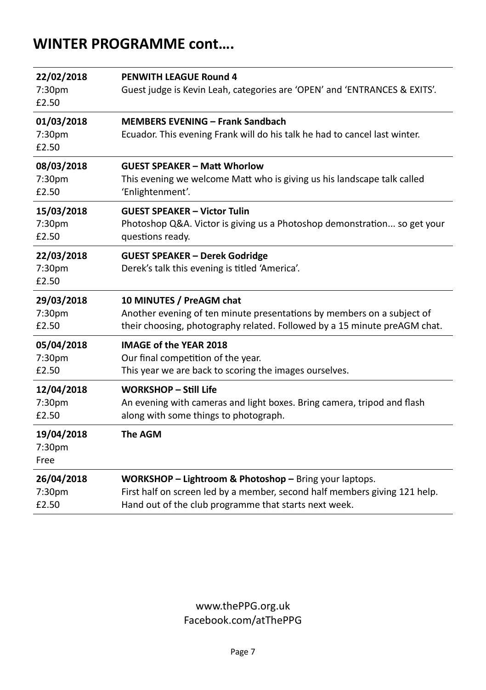### **WINTER PROGRAMME cont….**

| 22/02/2018<br>7:30pm<br>£2.50 | <b>PENWITH LEAGUE Round 4</b><br>Guest judge is Kevin Leah, categories are 'OPEN' and 'ENTRANCES & EXITS'.            |
|-------------------------------|-----------------------------------------------------------------------------------------------------------------------|
| 01/03/2018<br>7:30pm<br>£2.50 | <b>MEMBERS EVENING - Frank Sandbach</b><br>Ecuador. This evening Frank will do his talk he had to cancel last winter. |
| 08/03/2018                    | <b>GUEST SPEAKER - Matt Whorlow</b>                                                                                   |
| 7:30pm                        | This evening we welcome Matt who is giving us his landscape talk called                                               |
| £2.50                         | 'Enlightenment'.                                                                                                      |
| 15/03/2018                    | <b>GUEST SPEAKER - Victor Tulin</b>                                                                                   |
| 7:30 <sub>pm</sub>            | Photoshop Q&A. Victor is giving us a Photoshop demonstration so get your                                              |
| £2.50                         | questions ready.                                                                                                      |
| 22/03/2018<br>7:30pm<br>£2.50 | <b>GUEST SPEAKER - Derek Godridge</b><br>Derek's talk this evening is titled 'America'.                               |
|                               |                                                                                                                       |
| 29/03/2018                    | 10 MINUTES / PreAGM chat                                                                                              |
| 7:30pm                        | Another evening of ten minute presentations by members on a subject of                                                |
| £2.50                         | their choosing, photography related. Followed by a 15 minute preAGM chat.                                             |
| 05/04/2018                    | <b>IMAGE of the YEAR 2018</b>                                                                                         |
| 7:30pm                        | Our final competition of the year.                                                                                    |
| £2.50                         | This year we are back to scoring the images ourselves.                                                                |
| 12/04/2018                    | <b>WORKSHOP - Still Life</b>                                                                                          |
| 7:30pm                        | An evening with cameras and light boxes. Bring camera, tripod and flash                                               |
| £2.50                         | along with some things to photograph.                                                                                 |
| 19/04/2018<br>7:30pm<br>Free  | <b>The AGM</b>                                                                                                        |

#### www.thePPG.org.uk Facebook.com/atThePPG